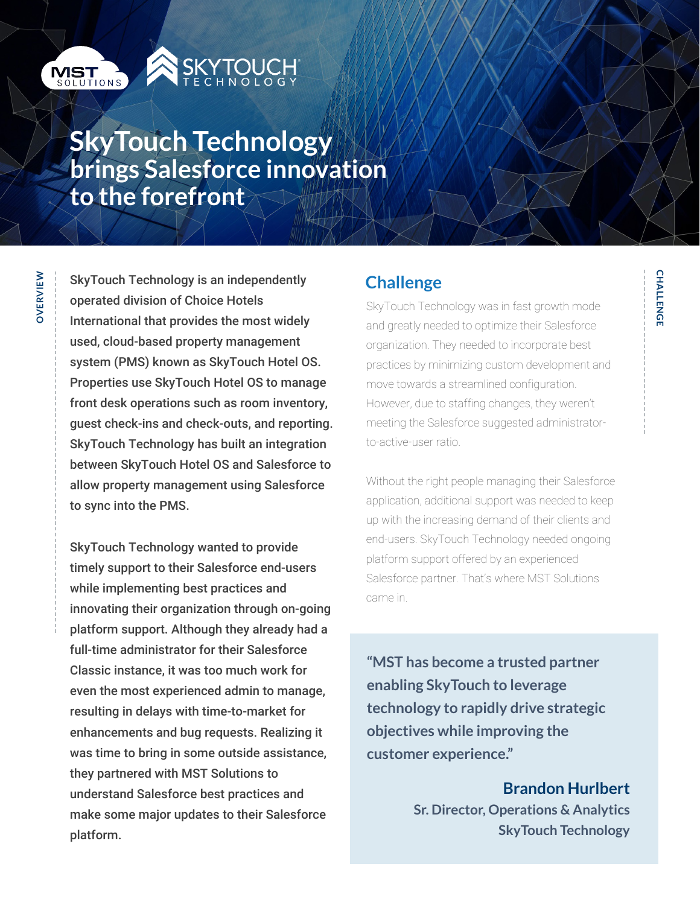

**OVERVIEW**

OVERVIEW



# **SkyTouch Technology brings Salesforce innovation to the forefront**

SkyTouch Technology is an independently operated division of Choice Hotels International that provides the most widely used, cloud-based property management system (PMS) known as SkyTouch Hotel OS. Properties use SkyTouch Hotel OS to manage front desk operations such as room inventory, guest check-ins and check-outs, and reporting. SkyTouch Technology has built an integration between SkyTouch Hotel OS and Salesforce to allow property management using Salesforce to sync into the PMS.

SkyTouch Technology wanted to provide timely support to their Salesforce end-users while implementing best practices and innovating their organization through on-going platform support. Although they already had a full-time administrator for their Salesforce Classic instance, it was too much work for even the most experienced admin to manage, resulting in delays with time-to-market for enhancements and bug requests. Realizing it was time to bring in some outside assistance, they partnered with MST Solutions to understand Salesforce best practices and make some major updates to their Salesforce platform.

### **Challenge**

SkyTouch Technology was in fast growth mode and greatly needed to optimize their Salesforce organization. They needed to incorporate best practices by minimizing custom development and move towards a streamlined configuration. However, due to staffing changes, they weren't meeting the Salesforce suggested administratorto-active-user ratio.

Without the right people managing their Salesforce application, additional support was needed to keep up with the increasing demand of their clients and end-users. SkyTouch Technology needed ongoing platform support offered by an experienced Salesforce partner. That's where MST Solutions came in.

**"MST has become a trusted partner enabling SkyTouch to leverage technology to rapidly drive strategic objectives while improving the customer experience."**

> **Brandon Hurlbert Sr. Director, Operations & Analytics SkyTouch Technology**